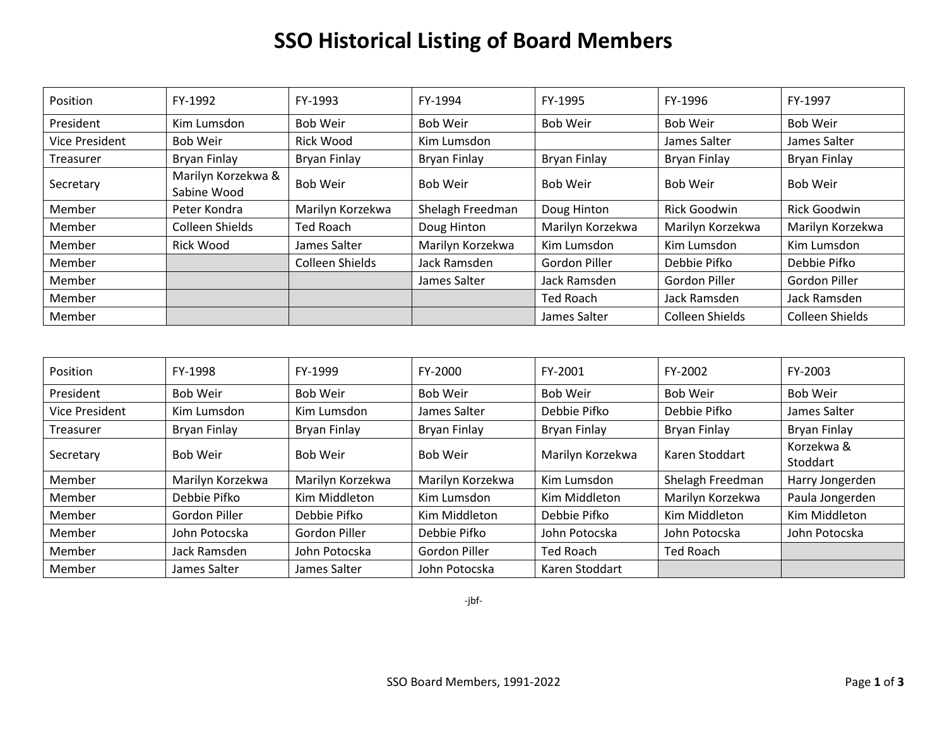## **SSO Historical Listing of Board Members**

| Position       | FY-1992                           | FY-1993          | FY-1994          | FY-1995          | FY-1996             | FY-1997             |
|----------------|-----------------------------------|------------------|------------------|------------------|---------------------|---------------------|
| President      | Kim Lumsdon                       | <b>Bob Weir</b>  | <b>Bob Weir</b>  | <b>Bob Weir</b>  | <b>Bob Weir</b>     | <b>Bob Weir</b>     |
| Vice President | Bob Weir                          | Rick Wood        | Kim Lumsdon      |                  | James Salter        | James Salter        |
| Treasurer      | Bryan Finlay                      | Bryan Finlay     | Bryan Finlay     | Bryan Finlay     | Bryan Finlay        | <b>Bryan Finlay</b> |
| Secretary      | Marilyn Korzekwa &<br>Sabine Wood | <b>Bob Weir</b>  | <b>Bob Weir</b>  | <b>Bob Weir</b>  | Bob Weir            | <b>Bob Weir</b>     |
| Member         | Peter Kondra                      | Marilyn Korzekwa | Shelagh Freedman | Doug Hinton      | <b>Rick Goodwin</b> | <b>Rick Goodwin</b> |
| Member         | Colleen Shields                   | Ted Roach        | Doug Hinton      | Marilyn Korzekwa | Marilyn Korzekwa    | Marilyn Korzekwa    |
| Member         | <b>Rick Wood</b>                  | James Salter     | Marilyn Korzekwa | Kim Lumsdon      | Kim Lumsdon         | Kim Lumsdon         |
| Member         |                                   | Colleen Shields  | Jack Ramsden     | Gordon Piller    | Debbie Pifko        | Debbie Pifko        |
| Member         |                                   |                  | James Salter     | Jack Ramsden     | Gordon Piller       | Gordon Piller       |
| Member         |                                   |                  |                  | <b>Ted Roach</b> | Jack Ramsden        | Jack Ramsden        |
| Member         |                                   |                  |                  | James Salter     | Colleen Shields     | Colleen Shields     |

| Position       | FY-1998             | FY-1999          | FY-2000          | FY-2001          | FY-2002             | FY-2003                |
|----------------|---------------------|------------------|------------------|------------------|---------------------|------------------------|
| President      | <b>Bob Weir</b>     | <b>Bob Weir</b>  | <b>Bob Weir</b>  | Bob Weir         | Bob Weir            | <b>Bob Weir</b>        |
| Vice President | Kim Lumsdon         | Kim Lumsdon      | James Salter     | Debbie Pifko     | Debbie Pifko        | James Salter           |
| Treasurer      | <b>Bryan Finlay</b> | Bryan Finlay     | Bryan Finlay     | Bryan Finlay     | <b>Bryan Finlay</b> | <b>Bryan Finlay</b>    |
| Secretary      | <b>Bob Weir</b>     | <b>Bob Weir</b>  | <b>Bob Weir</b>  | Marilyn Korzekwa | Karen Stoddart      | Korzekwa &<br>Stoddart |
| Member         | Marilyn Korzekwa    | Marilyn Korzekwa | Marilyn Korzekwa | Kim Lumsdon      | Shelagh Freedman    | Harry Jongerden        |
| Member         | Debbie Pifko        | Kim Middleton    | Kim Lumsdon      | Kim Middleton    | Marilyn Korzekwa    | Paula Jongerden        |
| Member         | Gordon Piller       | Debbie Pifko     | Kim Middleton    | Debbie Pifko     | Kim Middleton       | Kim Middleton          |
| Member         | John Potocska       | Gordon Piller    | Debbie Pifko     | John Potocska    | John Potocska       | John Potocska          |
| Member         | Jack Ramsden        | John Potocska    | Gordon Piller    | <b>Ted Roach</b> | <b>Ted Roach</b>    |                        |
| Member         | James Salter        | James Salter     | John Potocska    | Karen Stoddart   |                     |                        |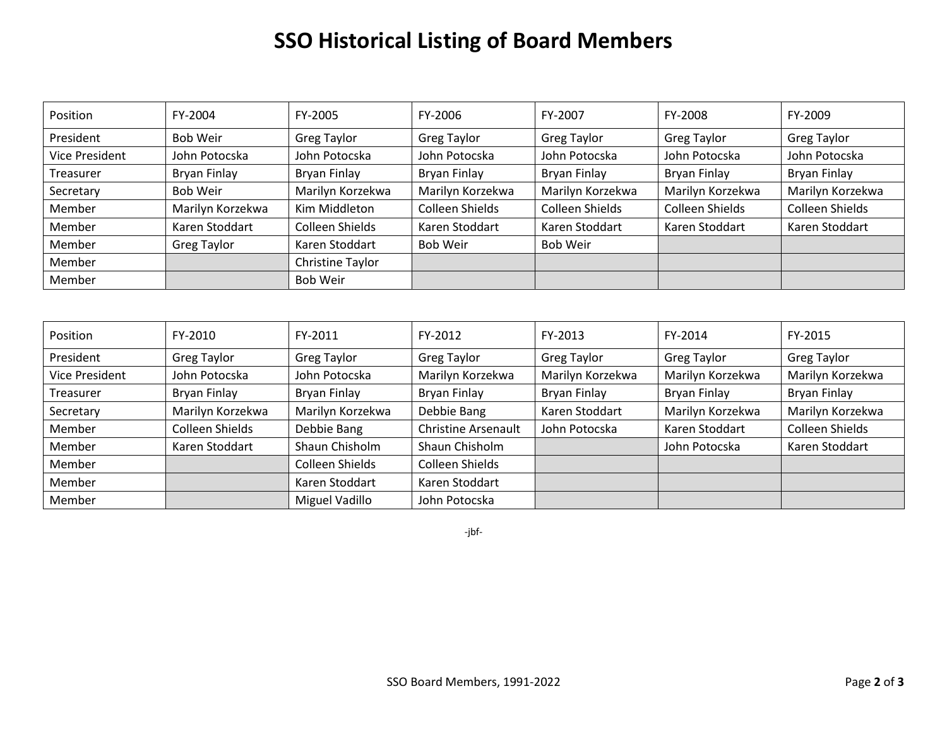## **SSO Historical Listing of Board Members**

| Position              | FY-2004            | FY-2005            | FY-2006            | FY-2007            | FY-2008                | FY-2009            |
|-----------------------|--------------------|--------------------|--------------------|--------------------|------------------------|--------------------|
| President             | <b>Bob Weir</b>    | <b>Greg Taylor</b> | <b>Greg Taylor</b> | <b>Greg Taylor</b> | <b>Greg Taylor</b>     | <b>Greg Taylor</b> |
| <b>Vice President</b> | John Potocska      | John Potocska      | John Potocska      | John Potocska      | John Potocska          | John Potocska      |
| Treasurer             | Bryan Finlay       | Bryan Finlay       | Bryan Finlay       | Bryan Finlay       | Bryan Finlay           | Bryan Finlay       |
| Secretary             | <b>Bob Weir</b>    | Marilyn Korzekwa   | Marilyn Korzekwa   | Marilyn Korzekwa   | Marilyn Korzekwa       | Marilyn Korzekwa   |
| Member                | Marilyn Korzekwa   | Kim Middleton      | Colleen Shields    | Colleen Shields    | <b>Colleen Shields</b> | Colleen Shields    |
| Member                | Karen Stoddart     | Colleen Shields    | Karen Stoddart     | Karen Stoddart     | Karen Stoddart         | Karen Stoddart     |
| Member                | <b>Greg Taylor</b> | Karen Stoddart     | <b>Bob Weir</b>    | <b>Bob Weir</b>    |                        |                    |
| Member                |                    | Christine Taylor   |                    |                    |                        |                    |
| Member                |                    | Bob Weir           |                    |                    |                        |                    |

| Position       | FY-2010            | FY-2011            | FY-2012             | FY-2013            | FY-2014            | FY-2015            |
|----------------|--------------------|--------------------|---------------------|--------------------|--------------------|--------------------|
| President      | <b>Greg Taylor</b> | <b>Greg Taylor</b> | <b>Greg Taylor</b>  | <b>Greg Taylor</b> | <b>Greg Taylor</b> | <b>Greg Taylor</b> |
| Vice President | John Potocska      | John Potocska      | Marilyn Korzekwa    | Marilyn Korzekwa   | Marilyn Korzekwa   | Marilyn Korzekwa   |
| Treasurer      | Bryan Finlay       | Bryan Finlay       | Bryan Finlay        | Bryan Finlay       | Bryan Finlay       | Bryan Finlay       |
| Secretary      | Marilyn Korzekwa   | Marilyn Korzekwa   | Debbie Bang         | Karen Stoddart     | Marilyn Korzekwa   | Marilyn Korzekwa   |
| Member         | Colleen Shields    | Debbie Bang        | Christine Arsenault | John Potocska      | Karen Stoddart     | Colleen Shields    |
| Member         | Karen Stoddart     | Shaun Chisholm     | Shaun Chisholm      |                    | John Potocska      | Karen Stoddart     |
| Member         |                    | Colleen Shields    | Colleen Shields     |                    |                    |                    |
| Member         |                    | Karen Stoddart     | Karen Stoddart      |                    |                    |                    |
| Member         |                    | Miguel Vadillo     | John Potocska       |                    |                    |                    |

-jbf-